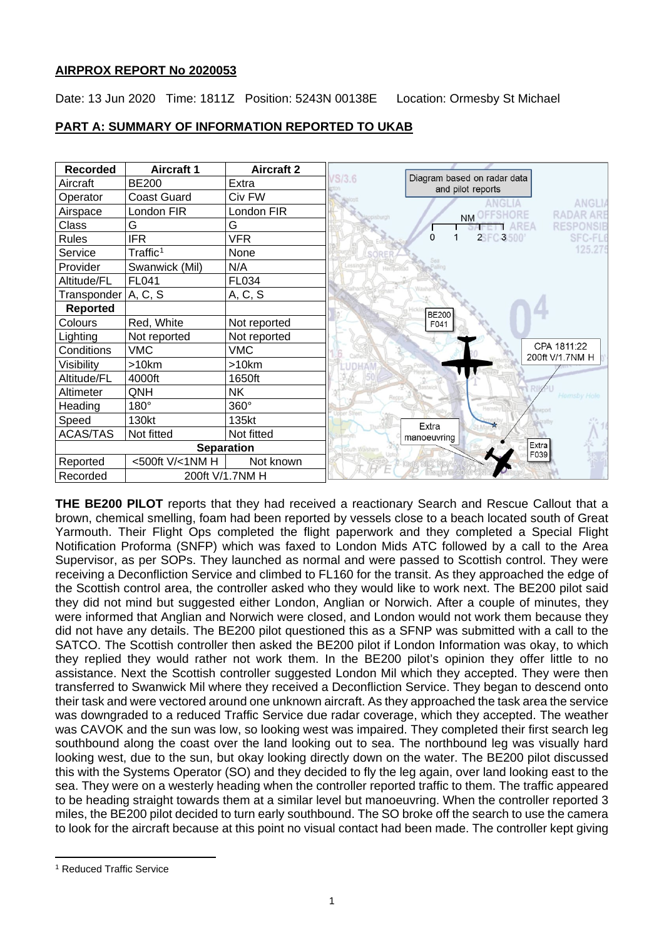## **AIRPROX REPORT No 2020053**

Date: 13 Jun 2020 Time: 1811Z Position: 5243N 00138E Location: Ormesby St Michael

# **PART A: SUMMARY OF INFORMATION REPORTED TO UKAB**



**THE BE200 PILOT** reports that they had received a reactionary Search and Rescue Callout that a brown, chemical smelling, foam had been reported by vessels close to a beach located south of Great Yarmouth. Their Flight Ops completed the flight paperwork and they completed a Special Flight Notification Proforma (SNFP) which was faxed to London Mids ATC followed by a call to the Area Supervisor, as per SOPs. They launched as normal and were passed to Scottish control. They were receiving a Deconfliction Service and climbed to FL160 for the transit. As they approached the edge of the Scottish control area, the controller asked who they would like to work next. The BE200 pilot said they did not mind but suggested either London, Anglian or Norwich. After a couple of minutes, they were informed that Anglian and Norwich were closed, and London would not work them because they did not have any details. The BE200 pilot questioned this as a SFNP was submitted with a call to the SATCO. The Scottish controller then asked the BE200 pilot if London Information was okay, to which they replied they would rather not work them. In the BE200 pilot's opinion they offer little to no assistance. Next the Scottish controller suggested London Mil which they accepted. They were then transferred to Swanwick Mil where they received a Deconfliction Service. They began to descend onto their task and were vectored around one unknown aircraft. As they approached the task area the service was downgraded to a reduced Traffic Service due radar coverage, which they accepted. The weather was CAVOK and the sun was low, so looking west was impaired. They completed their first search leg southbound along the coast over the land looking out to sea. The northbound leg was visually hard looking west, due to the sun, but okay looking directly down on the water. The BE200 pilot discussed this with the Systems Operator (SO) and they decided to fly the leg again, over land looking east to the sea. They were on a westerly heading when the controller reported traffic to them. The traffic appeared to be heading straight towards them at a similar level but manoeuvring. When the controller reported 3 miles, the BE200 pilot decided to turn early southbound. The SO broke off the search to use the camera to look for the aircraft because at this point no visual contact had been made. The controller kept giving

<span id="page-0-0"></span><sup>1</sup> Reduced Traffic Service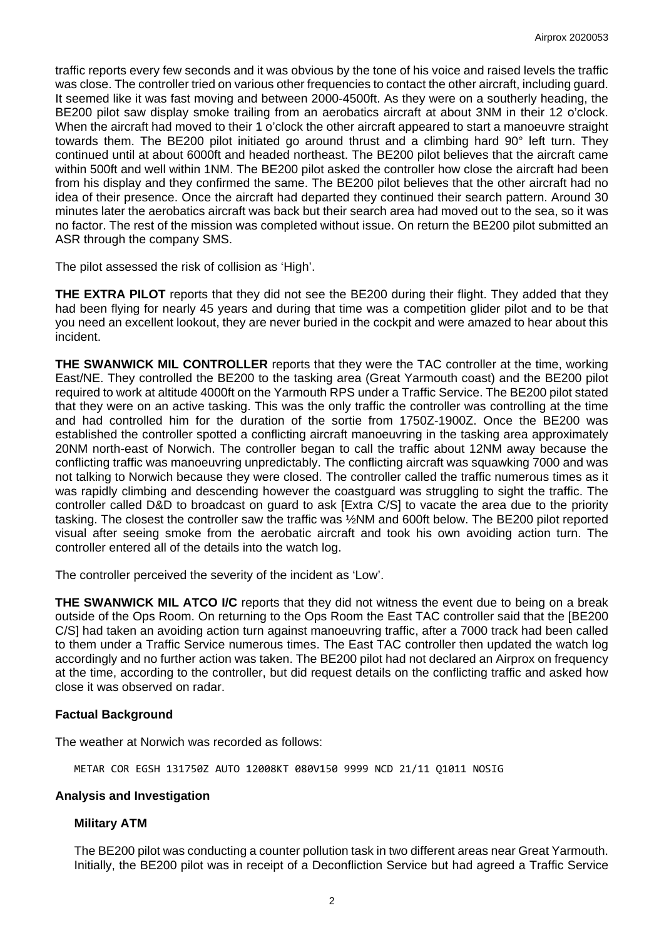traffic reports every few seconds and it was obvious by the tone of his voice and raised levels the traffic was close. The controller tried on various other frequencies to contact the other aircraft, including guard. It seemed like it was fast moving and between 2000-4500ft. As they were on a southerly heading, the BE200 pilot saw display smoke trailing from an aerobatics aircraft at about 3NM in their 12 o'clock. When the aircraft had moved to their 1 o'clock the other aircraft appeared to start a manoeuvre straight towards them. The BE200 pilot initiated go around thrust and a climbing hard 90° left turn. They continued until at about 6000ft and headed northeast. The BE200 pilot believes that the aircraft came within 500ft and well within 1NM. The BE200 pilot asked the controller how close the aircraft had been from his display and they confirmed the same. The BE200 pilot believes that the other aircraft had no idea of their presence. Once the aircraft had departed they continued their search pattern. Around 30 minutes later the aerobatics aircraft was back but their search area had moved out to the sea, so it was no factor. The rest of the mission was completed without issue. On return the BE200 pilot submitted an ASR through the company SMS.

The pilot assessed the risk of collision as 'High'.

**THE EXTRA PILOT** reports that they did not see the BE200 during their flight. They added that they had been flying for nearly 45 years and during that time was a competition glider pilot and to be that you need an excellent lookout, they are never buried in the cockpit and were amazed to hear about this incident.

**THE SWANWICK MIL CONTROLLER** reports that they were the TAC controller at the time, working East/NE. They controlled the BE200 to the tasking area (Great Yarmouth coast) and the BE200 pilot required to work at altitude 4000ft on the Yarmouth RPS under a Traffic Service. The BE200 pilot stated that they were on an active tasking. This was the only traffic the controller was controlling at the time and had controlled him for the duration of the sortie from 1750Z-1900Z. Once the BE200 was established the controller spotted a conflicting aircraft manoeuvring in the tasking area approximately 20NM north-east of Norwich. The controller began to call the traffic about 12NM away because the conflicting traffic was manoeuvring unpredictably. The conflicting aircraft was squawking 7000 and was not talking to Norwich because they were closed. The controller called the traffic numerous times as it was rapidly climbing and descending however the coastguard was struggling to sight the traffic. The controller called D&D to broadcast on guard to ask [Extra C/S] to vacate the area due to the priority tasking. The closest the controller saw the traffic was ½NM and 600ft below. The BE200 pilot reported visual after seeing smoke from the aerobatic aircraft and took his own avoiding action turn. The controller entered all of the details into the watch log.

The controller perceived the severity of the incident as 'Low'.

**THE SWANWICK MIL ATCO I/C** reports that they did not witness the event due to being on a break outside of the Ops Room. On returning to the Ops Room the East TAC controller said that the [BE200 C/S] had taken an avoiding action turn against manoeuvring traffic, after a 7000 track had been called to them under a Traffic Service numerous times. The East TAC controller then updated the watch log accordingly and no further action was taken. The BE200 pilot had not declared an Airprox on frequency at the time, according to the controller, but did request details on the conflicting traffic and asked how close it was observed on radar.

## **Factual Background**

The weather at Norwich was recorded as follows:

METAR COR EGSH 131750Z AUTO 12008KT 080V150 9999 NCD 21/11 Q1011 NOSIG

## **Analysis and Investigation**

## **Military ATM**

The BE200 pilot was conducting a counter pollution task in two different areas near Great Yarmouth. Initially, the BE200 pilot was in receipt of a Deconfliction Service but had agreed a Traffic Service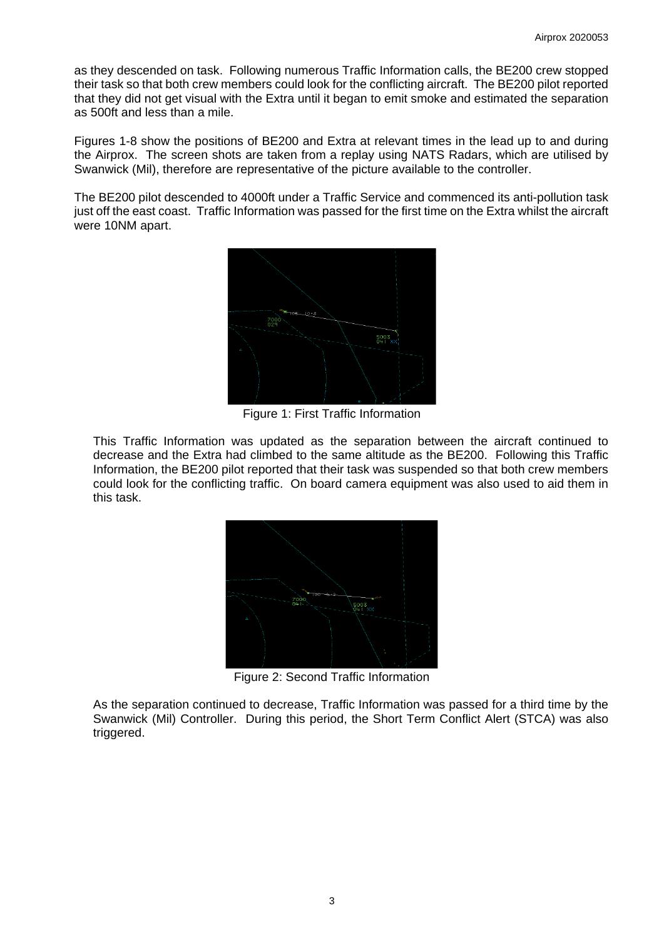as they descended on task. Following numerous Traffic Information calls, the BE200 crew stopped their task so that both crew members could look for the conflicting aircraft. The BE200 pilot reported that they did not get visual with the Extra until it began to emit smoke and estimated the separation as 500ft and less than a mile.

Figures 1-8 show the positions of BE200 and Extra at relevant times in the lead up to and during the Airprox. The screen shots are taken from a replay using NATS Radars, which are utilised by Swanwick (Mil), therefore are representative of the picture available to the controller.

The BE200 pilot descended to 4000ft under a Traffic Service and commenced its anti-pollution task just off the east coast. Traffic Information was passed for the first time on the Extra whilst the aircraft were 10NM apart.



Figure 1: First Traffic Information

This Traffic Information was updated as the separation between the aircraft continued to decrease and the Extra had climbed to the same altitude as the BE200. Following this Traffic Information, the BE200 pilot reported that their task was suspended so that both crew members could look for the conflicting traffic. On board camera equipment was also used to aid them in this task.



Figure 2: Second Traffic Information

As the separation continued to decrease, Traffic Information was passed for a third time by the Swanwick (Mil) Controller. During this period, the Short Term Conflict Alert (STCA) was also triggered.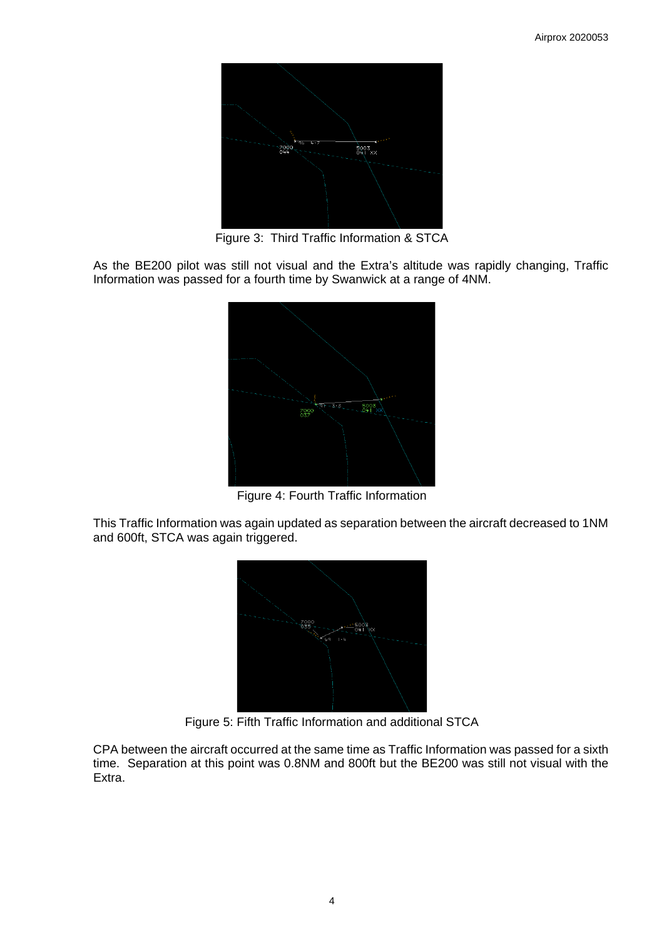

Figure 3: Third Traffic Information & STCA

As the BE200 pilot was still not visual and the Extra's altitude was rapidly changing, Traffic Information was passed for a fourth time by Swanwick at a range of 4NM.



Figure 4: Fourth Traffic Information

This Traffic Information was again updated as separation between the aircraft decreased to 1NM and 600ft, STCA was again triggered.



Figure 5: Fifth Traffic Information and additional STCA

CPA between the aircraft occurred at the same time as Traffic Information was passed for a sixth time. Separation at this point was 0.8NM and 800ft but the BE200 was still not visual with the Extra.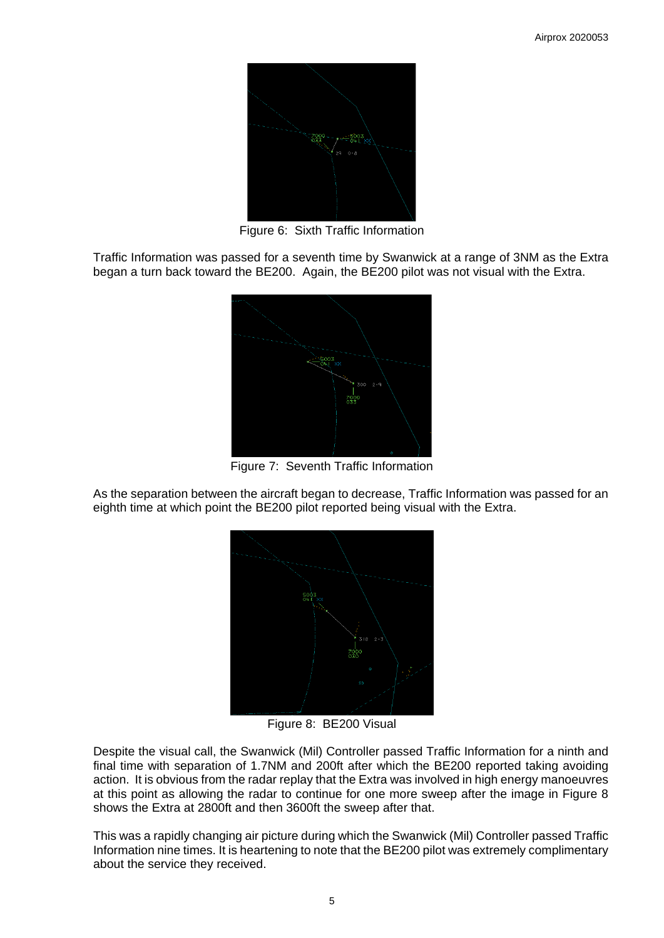

Figure 6: Sixth Traffic Information

Traffic Information was passed for a seventh time by Swanwick at a range of 3NM as the Extra began a turn back toward the BE200. Again, the BE200 pilot was not visual with the Extra.



Figure 7: Seventh Traffic Information

As the separation between the aircraft began to decrease, Traffic Information was passed for an eighth time at which point the BE200 pilot reported being visual with the Extra.



Figure 8: BE200 Visual

Despite the visual call, the Swanwick (Mil) Controller passed Traffic Information for a ninth and final time with separation of 1.7NM and 200ft after which the BE200 reported taking avoiding action. It is obvious from the radar replay that the Extra was involved in high energy manoeuvres at this point as allowing the radar to continue for one more sweep after the image in Figure 8 shows the Extra at 2800ft and then 3600ft the sweep after that.

This was a rapidly changing air picture during which the Swanwick (Mil) Controller passed Traffic Information nine times. It is heartening to note that the BE200 pilot was extremely complimentary about the service they received.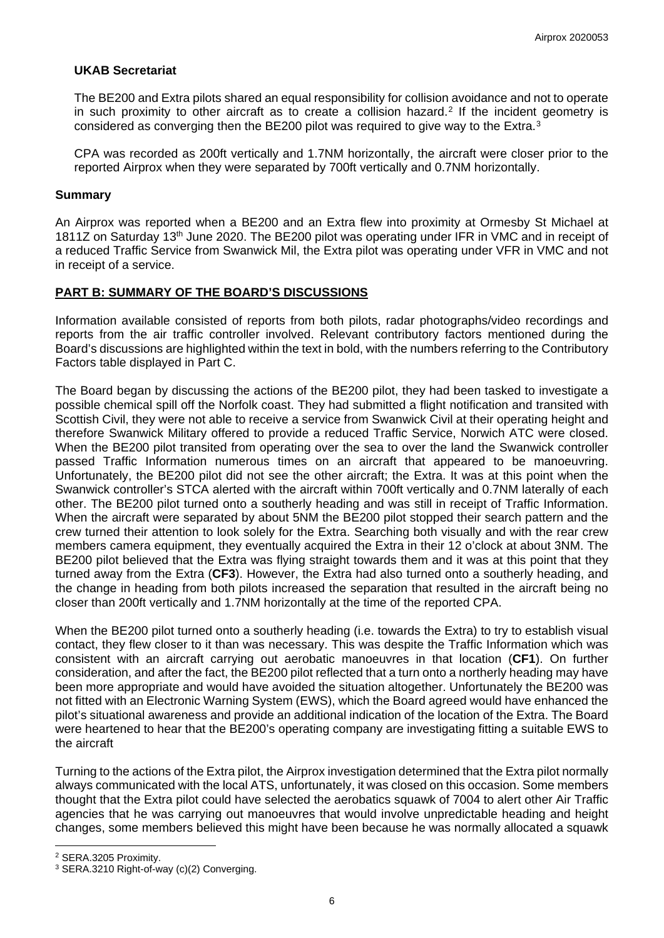### **UKAB Secretariat**

The BE200 and Extra pilots shared an equal responsibility for collision avoidance and not to operate in such proximity to other aircraft as to create a collision hazard.[2](#page-5-0) If the incident geometry is considered as converging then the BE200 pilot was required to give way to the Extra.[3](#page-5-1)

CPA was recorded as 200ft vertically and 1.7NM horizontally, the aircraft were closer prior to the reported Airprox when they were separated by 700ft vertically and 0.7NM horizontally.

#### **Summary**

An Airprox was reported when a BE200 and an Extra flew into proximity at Ormesby St Michael at 1811Z on Saturday 13<sup>th</sup> June 2020. The BE200 pilot was operating under IFR in VMC and in receipt of a reduced Traffic Service from Swanwick Mil, the Extra pilot was operating under VFR in VMC and not in receipt of a service.

## **PART B: SUMMARY OF THE BOARD'S DISCUSSIONS**

Information available consisted of reports from both pilots, radar photographs/video recordings and reports from the air traffic controller involved. Relevant contributory factors mentioned during the Board's discussions are highlighted within the text in bold, with the numbers referring to the Contributory Factors table displayed in Part C.

The Board began by discussing the actions of the BE200 pilot, they had been tasked to investigate a possible chemical spill off the Norfolk coast. They had submitted a flight notification and transited with Scottish Civil, they were not able to receive a service from Swanwick Civil at their operating height and therefore Swanwick Military offered to provide a reduced Traffic Service, Norwich ATC were closed. When the BE200 pilot transited from operating over the sea to over the land the Swanwick controller passed Traffic Information numerous times on an aircraft that appeared to be manoeuvring. Unfortunately, the BE200 pilot did not see the other aircraft; the Extra. It was at this point when the Swanwick controller's STCA alerted with the aircraft within 700ft vertically and 0.7NM laterally of each other. The BE200 pilot turned onto a southerly heading and was still in receipt of Traffic Information. When the aircraft were separated by about 5NM the BE200 pilot stopped their search pattern and the crew turned their attention to look solely for the Extra. Searching both visually and with the rear crew members camera equipment, they eventually acquired the Extra in their 12 o'clock at about 3NM. The BE200 pilot believed that the Extra was flying straight towards them and it was at this point that they turned away from the Extra (**CF3**). However, the Extra had also turned onto a southerly heading, and the change in heading from both pilots increased the separation that resulted in the aircraft being no closer than 200ft vertically and 1.7NM horizontally at the time of the reported CPA.

When the BE200 pilot turned onto a southerly heading (i.e. towards the Extra) to try to establish visual contact, they flew closer to it than was necessary. This was despite the Traffic Information which was consistent with an aircraft carrying out aerobatic manoeuvres in that location (**CF1**). On further consideration, and after the fact, the BE200 pilot reflected that a turn onto a northerly heading may have been more appropriate and would have avoided the situation altogether. Unfortunately the BE200 was not fitted with an Electronic Warning System (EWS), which the Board agreed would have enhanced the pilot's situational awareness and provide an additional indication of the location of the Extra. The Board were heartened to hear that the BE200's operating company are investigating fitting a suitable EWS to the aircraft

Turning to the actions of the Extra pilot, the Airprox investigation determined that the Extra pilot normally always communicated with the local ATS, unfortunately, it was closed on this occasion. Some members thought that the Extra pilot could have selected the aerobatics squawk of 7004 to alert other Air Traffic agencies that he was carrying out manoeuvres that would involve unpredictable heading and height changes, some members believed this might have been because he was normally allocated a squawk

<span id="page-5-0"></span><sup>2</sup> SERA.3205 Proximity.

<span id="page-5-1"></span><sup>&</sup>lt;sup>3</sup> SERA.3210 Right-of-way (c)(2) Converging.